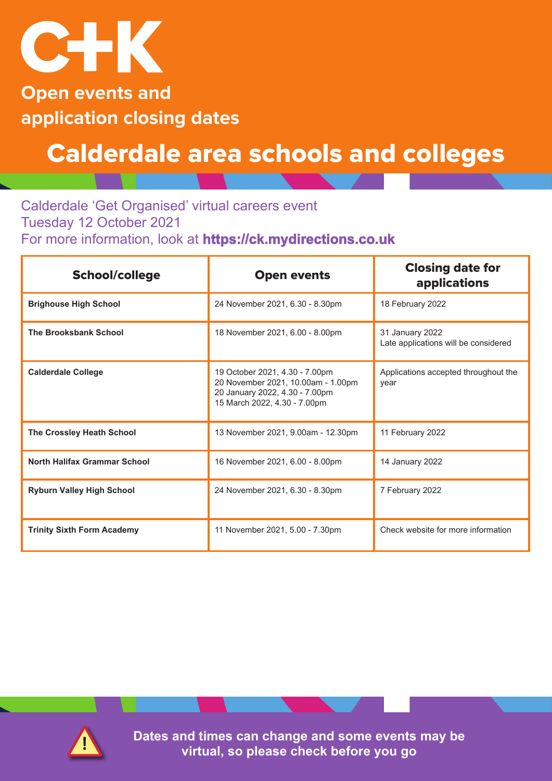

**Open events and application closing dates**

### Calderdale area schools and colleges

Calderdale 'Get Organised' virtual careers event Tuesday 12 October 2021 For more information, look at **https://ck.mydirections.co.uk**

| <b>School/college</b>               | <b>Open events</b>                                                                                                                     | <b>Closing date for</b><br>applications                 |
|-------------------------------------|----------------------------------------------------------------------------------------------------------------------------------------|---------------------------------------------------------|
| <b>Brighouse High School</b>        | 24 November 2021, 6.30 - 8.30pm                                                                                                        | 18 February 2022                                        |
| <b>The Brooksbank School</b>        | 18 November 2021, 6.00 - 8.00pm                                                                                                        | 31 January 2022<br>Late applications will be considered |
| <b>Calderdale College</b>           | 19 October 2021, 4.30 - 7.00pm<br>20 November 2021, 10.00am - 1.00pm<br>20 January 2022, 4.30 - 7.00pm<br>15 March 2022, 4.30 - 7.00pm | Applications accepted throughout the<br>year            |
| <b>The Crossley Heath School</b>    | 13 November 2021, 9.00am - 12.30pm                                                                                                     | 11 February 2022                                        |
| <b>North Halifax Grammar School</b> | 16 November 2021, 6.00 - 8.00pm                                                                                                        | 14 January 2022                                         |
| <b>Ryburn Valley High School</b>    | 24 November 2021, 6.30 - 8.30pm                                                                                                        | 7 February 2022                                         |
| <b>Trinity Sixth Form Academy</b>   | 11 November 2021, 5.00 - 7.30pm                                                                                                        | Check website for more information                      |

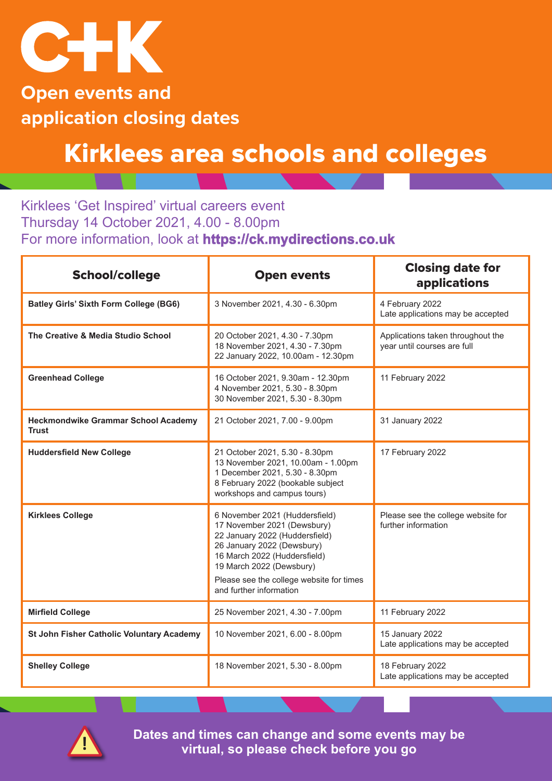

### **Open events and application closing dates**

### Kirklees area schools and colleges

#### Kirklees 'Get Inspired' virtual careers event Thursday 14 October 2021, 4.00 - 8.00pm For more information, look at **https://ck.mydirections.co.uk**

| <b>School/college</b>                                      | <b>Open events</b>                                                                                                                                                                                                                                               | <b>Closing date for</b><br>applications                          |
|------------------------------------------------------------|------------------------------------------------------------------------------------------------------------------------------------------------------------------------------------------------------------------------------------------------------------------|------------------------------------------------------------------|
| <b>Batley Girls' Sixth Form College (BG6)</b>              | 3 November 2021, 4.30 - 6.30pm                                                                                                                                                                                                                                   | 4 February 2022<br>Late applications may be accepted             |
| The Creative & Media Studio School                         | 20 October 2021, 4.30 - 7.30pm<br>18 November 2021, 4.30 - 7.30pm<br>22 January 2022, 10.00am - 12.30pm                                                                                                                                                          | Applications taken throughout the<br>year until courses are full |
| <b>Greenhead College</b>                                   | 16 October 2021, 9.30am - 12.30pm<br>4 November 2021, 5.30 - 8.30pm<br>30 November 2021, 5.30 - 8.30pm                                                                                                                                                           | 11 February 2022                                                 |
| <b>Heckmondwike Grammar School Academy</b><br><b>Trust</b> | 21 October 2021, 7.00 - 9.00pm                                                                                                                                                                                                                                   | 31 January 2022                                                  |
| <b>Huddersfield New College</b>                            | 21 October 2021, 5.30 - 8.30pm<br>13 November 2021, 10.00am - 1.00pm<br>1 December 2021, 5.30 - 8.30pm<br>8 February 2022 (bookable subject<br>workshops and campus tours)                                                                                       | 17 February 2022                                                 |
| <b>Kirklees College</b>                                    | 6 November 2021 (Huddersfield)<br>17 November 2021 (Dewsbury)<br>22 January 2022 (Huddersfield)<br>26 January 2022 (Dewsbury)<br>16 March 2022 (Huddersfield)<br>19 March 2022 (Dewsbury)<br>Please see the college website for times<br>and further information | Please see the college website for<br>further information        |
| <b>Mirfield College</b>                                    | 25 November 2021, 4.30 - 7.00pm                                                                                                                                                                                                                                  | 11 February 2022                                                 |
| St John Fisher Catholic Voluntary Academy                  | 10 November 2021, 6.00 - 8.00pm                                                                                                                                                                                                                                  | 15 January 2022<br>Late applications may be accepted             |
| <b>Shelley College</b>                                     | 18 November 2021, 5.30 - 8.00pm                                                                                                                                                                                                                                  | 18 February 2022<br>Late applications may be accepted            |

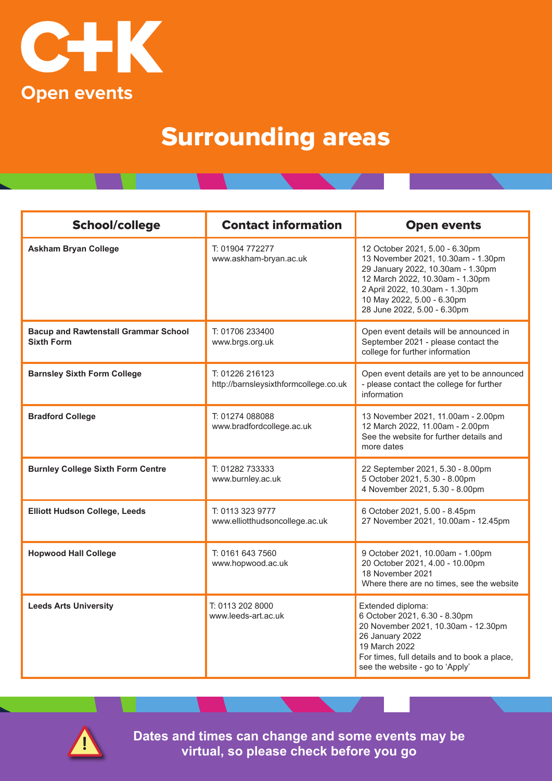

# Surrounding areas

| <b>School/college</b>                                            | <b>Contact information</b>                               | <b>Open events</b>                                                                                                                                                                                                                          |
|------------------------------------------------------------------|----------------------------------------------------------|---------------------------------------------------------------------------------------------------------------------------------------------------------------------------------------------------------------------------------------------|
| <b>Askham Bryan College</b>                                      | T: 01904 772277<br>www.askham-bryan.ac.uk                | 12 October 2021, 5.00 - 6.30pm<br>13 November 2021, 10.30am - 1.30pm<br>29 January 2022, 10.30am - 1.30pm<br>12 March 2022, 10.30am - 1.30pm<br>2 April 2022, 10.30am - 1.30pm<br>10 May 2022, 5.00 - 6.30pm<br>28 June 2022, 5.00 - 6.30pm |
| <b>Bacup and Rawtenstall Grammar School</b><br><b>Sixth Form</b> | T: 01706 233400<br>www.brgs.org.uk                       | Open event details will be announced in<br>September 2021 - please contact the<br>college for further information                                                                                                                           |
| <b>Barnsley Sixth Form College</b>                               | T: 01226 216123<br>http://barnsleysixthformcollege.co.uk | Open event details are yet to be announced<br>- please contact the college for further<br>information                                                                                                                                       |
| <b>Bradford College</b>                                          | T: 01274 088088<br>www.bradfordcollege.ac.uk             | 13 November 2021, 11.00am - 2.00pm<br>12 March 2022, 11.00am - 2.00pm<br>See the website for further details and<br>more dates                                                                                                              |
| <b>Burnley College Sixth Form Centre</b>                         | T: 01282 733333<br>www.burnley.ac.uk                     | 22 September 2021, 5.30 - 8.00pm<br>5 October 2021, 5.30 - 8.00pm<br>4 November 2021, 5.30 - 8.00pm                                                                                                                                         |
| <b>Elliott Hudson College, Leeds</b>                             | T: 0113 323 9777<br>www.elliotthudsoncollege.ac.uk       | 6 October 2021, 5.00 - 8.45pm<br>27 November 2021, 10.00am - 12.45pm                                                                                                                                                                        |
| <b>Hopwood Hall College</b>                                      | T: 0161 643 7560<br>www.hopwood.ac.uk                    | 9 October 2021, 10.00am - 1.00pm<br>20 October 2021, 4.00 - 10.00pm<br>18 November 2021<br>Where there are no times, see the website                                                                                                        |
| <b>Leeds Arts University</b>                                     | T: 0113 202 8000<br>www.leeds-art.ac.uk                  | Extended diploma:<br>6 October 2021, 6.30 - 8.30pm<br>20 November 2021, 10.30am - 12.30pm<br>26 January 2022<br>19 March 2022<br>For times, full details and to book a place,<br>see the website - go to 'Apply'                            |